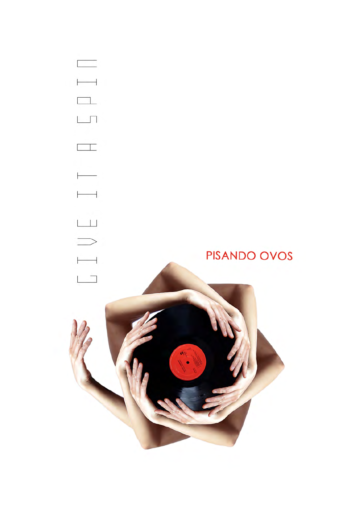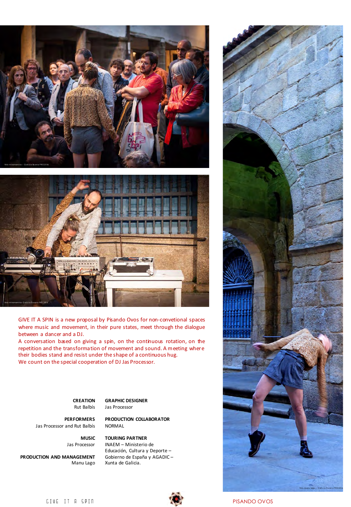



GIVE IT A SPIN is a new proposal by Pisando Ovos for non-convetional spaces where music and movement, in their pure states, meet through the dialogue between a dancer and a DJ.

A conversation based on giving a spin, on the continuous rotation, on the repetition and the transformation of movement and sound. A meeting where their bodies stand and resist under the shape of a continuous hug. We count on the special cooperation of DJ Jas Processor.

> **CREATION** Rut Balbís

**GRAPHIC DESIGNER** Jas Processor

**PERFORMERS** Jas Processor and Rut Balbís **PRODUCTION COLLABORATOR** NORMAL

**MUSIC** Jas Processor

**PRODUCTION AND MANAGEMENT** Manu Lago **TOURING PARTNER** INAEM – Ministerio de Educación, Cultura y Deporte -Gobierno de España y AGADIC -Xunta de Galicia.





GIVE IT A SPIN PISANDO OVOS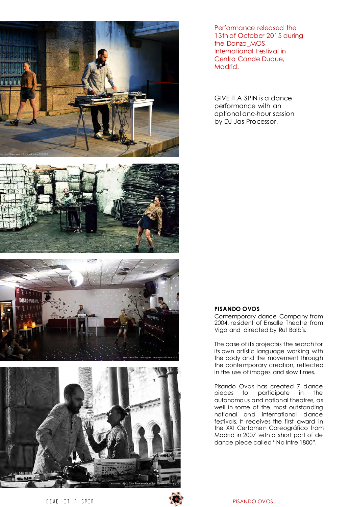

Performance released the 13th of October 2015 during the Danza\_MOS International Festival in Centro Conde Duque, Madrid.

GIVE IT A SPIN is a dance performance with an optional one-hour session by DJ Jas Processor.







## **PISANDO OVOS**

Contemporary dance Company from 2004, resident of Ensalle Theatre from Vigo and directed by Rut Balbís.

The base of its projectsis the search for its own artístic language working with the body and the movement through the contemporary creation, reflected in the use of images and slow times.

Pisando Ovos has created 7 dance pieces to participate in the autonomous and national theatres, as well in some of the most outstanding national and international dance festivals. It receives the first award in the XXI Certamen Coreográfico from Madrid in 2007 with a short part of de dance piece called "No Intre 1800".

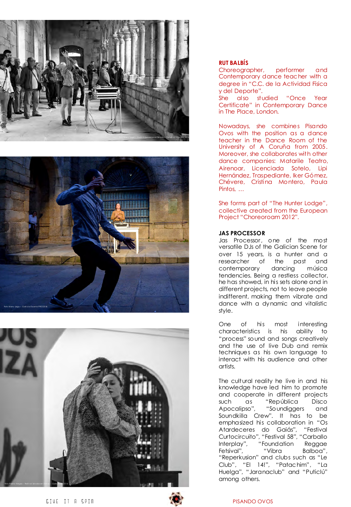





## **RUT BALBÍS**

Choreographer, performer and Contemporary dance teacher with a degree in "C.C. de la Actividad Física y del Deporte".

She also studied "Once Year Certificate" in Contemporary Dance in The Place, London.

Nowadays, she combines Pisando Ovos with the position as a dance teacher in the Dance Room of the University of A Coruña from 2005. Moreover, she collaborates with other dance companies: Matarile Teatro, Airenoar, Licenciada Sotelo, Lipi Hernández, Traspediante, Iker Gómez, Chévere, Cristina Montero, Paula Pintos, …

She forms part of "The Hunter Lodge", collective created from the European Project "Choreoroam 2012".

## **JAS PROCESSOR**

Jas Processor, one of the most versatile DJs of the Galician Scene for over 15 years, is a hunter and a researcher of the past and contemporary dancing música tendencies. Being a restless collector, he has showed, in his sets alone and in different projects, not to leave people indifferent, making them vibrate and dance with a dynamic and vitalistic style.

One of his most interesting characteristics is his ability to "process" sound and songs creatively and the use of live Dub and remix techniques as his own language to interact with his audience and other artists.

The cultural reality he live in and his knowledge have led him to promote and cooperate in different projects such as "República Disco Apocalipso", "Soundiggers and Soundkilla Crew". It has to be emphasized his collaboration in "Os Atardeceres do Gaiás", Curtocircuito", "Festival 58", "Carballo Interplay", "Foundation Reggae Fetsival", "Vibra Balboa", "Reperkusion" and clubs such as "Le Club", "El 14!", "Patachim", "La Huelga", "Jaranaclub" and "Puticlú" among others.

GIVE IT A SPIN PISANDO OVOS